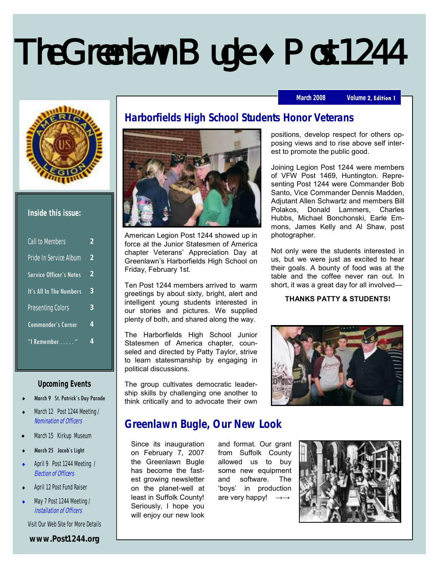# The Greenlawn Bugle **♦** Post 1244

#### March 2008 **Volume 2, Edition 1**



#### **Inside this issue:**

| Call to Members                | 2             |
|--------------------------------|---------------|
| Pride In Service Album         | $\mathcal{P}$ |
| <b>Service Officer's Notes</b> | $\mathcal{P}$ |
| It's All In The Numbers        | 3             |
| Presenting Colors              | 3             |
| <b>Commander's Corner</b>      | 4             |
| "I Remember "                  | 4             |

#### **Upcoming Events**

- March 9 St. Patrick's Day Parade
- March 12 Post 1244 Meeting / Nomination of Officers
- March 15 Kirkup Museum
- March 25 Jacob's Light
- April 9 Post 1244 Meeting / Election of Officers
- April 12 Post Fund Raiser
- May 7 Post 1244 Meeting / Installation of Officers

Visit Our Web Site for More Details

#### **www.Post1244.org**



American Legion Post 1244 showed up in force at the Junior Statesmen of America chapter Veterans' Appreciation Day at Greenlawn's Harborfields High School on Friday, February 1st.

Ten Post 1244 members arrived to warm greetings by about sixty, bright, alert and intelligent young students interested in our stories and pictures. We supplied plenty of both, and shared along the way.

The Harborfields High School Junior Statesmen of America chapter, counseled and directed by Patty Taylor, strive to learn statesmanship by engaging in political discussions.

The group cultivates democratic leadership skills by challenging one another to think critically and to advocate their own

# **Greenlawn Bugle, Our New Look**

Since its inauguration on February 7, 2007 the Greenlawn Bugle has become the fastest growing newsletter on the planet-well at least in Suffolk County! Seriously, I hope you will enjoy our new look

and format. Our grant from Suffolk County allowed us to buy some new equipment and software. The 'boys' in production are very happy!



positions, develop respect for others opposing views and to rise above self interest to promote the public good.

Joining Legion Post 1244 were members of VFW Post 1469, Huntington. Representing Post 1244 were Commander Bob Santo, Vice Commander Dennis Madden, Adjutant Allen Schwartz and members Bill Polakos, Donald Lammers, Charles Hubbs, Michael Bonchonski, Earle Emmons, James Kelly and Al Shaw, post photographer.

Not only were the students interested in us, but we were just as excited to hear their goals. A bounty of food was at the table and the coffee never ran out. In short, it was a great day for all involved—

#### **THANKS PATTY & STUDENTS!**

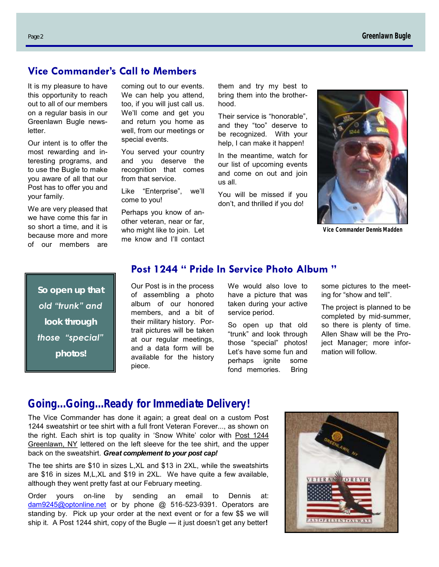# **Vice Commander's Call to Members**

It is my pleasure to have this opportunity to reach out to all of our members on a regular basis in our Greenlawn Bugle newsletter.

Our intent is to offer the most rewarding and interesting programs, and to use the Bugle to make you aware of all that our Post has to offer you and your family.

We are very pleased that we have come this far in so short a time, and it is because more and more of our members are

coming out to our events. We can help you attend, too, if you will just call us. We'll come and get you and return you home as well, from our meetings or special events.

You served your country and you deserve the recognition that comes from that service.

Like "Enterprise", we'll come to you!

Perhaps you know of another veteran, near or far, who might like to join. Let me know and I'll contact them and try my best to bring them into the brotherhood.

Their service is "honorable", and they "too" deserve to be recognized. With your help, I can make it happen!

In the meantime, watch for our list of upcoming events and come on out and join us all.

You will be missed if you don't, and thrilled if you do!



*Vice Commander Dennis Madden*

*So open up that old "trunk" and look through those "special" photos!*

# **Post 1244 " Pride In Service Photo Album "**

Our Post is in the process of assembling a photo album of our honored members, and a bit of their military history. Portrait pictures will be taken at our regular meetings, and a data form will be available for the history piece.

We would also love to have a picture that was taken during your active service period.

So open up that old "trunk" and look through those "special" photos! Let's have some fun and perhaps ignite some fond memories. Bring

some pictures to the meeting for "show and tell".

The project is planned to be completed by mid-summer, so there is plenty of time. Allen Shaw will be the Project Manager; more information will follow.

# **Going...Going...Ready for Immediate Delivery!**

The Vice Commander has done it again; a great deal on a custom Post 1244 sweatshirt or tee shirt with a full front Veteran Forever..., as shown on the right. Each shirt is top quality in 'Snow White' color with Post 1244 Greenlawn, NY lettered on the left sleeve for the tee shirt, and the upper back on the sweatshirt. *Great complement to your post cap!*

The tee shirts are \$10 in sizes L,XL and \$13 in 2XL, while the sweatshirts are \$16 in sizes M,L,XL and \$19 in 2XL. We have quite a few available, although they went pretty fast at our February meeting.

Order yours on-line by sending an email to Dennis at: dam9245@optonline.net or by phone @ 516-523-9391. Operators are standing by. Pick up your order at the next event or for a few \$\$ we will ship it. A Post 1244 shirt, copy of the Bugle — it just doesn't get any better**!** 

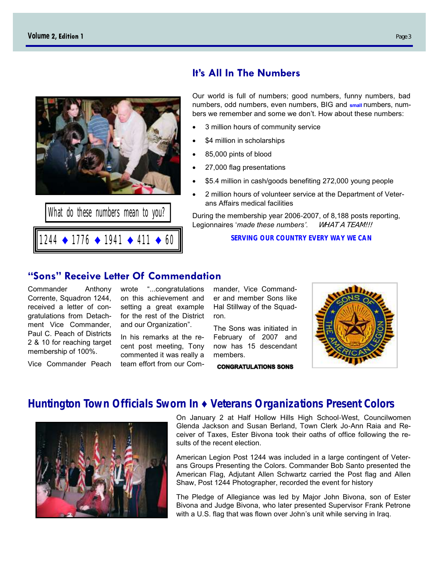

1244 ♦ 1776 ♦ 1941 ♦ 411 ♦ 60

# **It's All In The Numbers**

Our world is full of numbers; good numbers, funny numbers, bad numbers, odd numbers, even numbers, BIG and **small** numbers, numbers we remember and some we don't. How about these numbers:

- 3 million hours of community service
- \$4 million in scholarships
- 85,000 pints of blood
- 27,000 flag presentations
- \$5.4 million in cash/goods benefiting 272,000 young people
- 2 million hours of volunteer service at the Department of Veterans Affairs medical facilities

During the membership year 2006-2007, of 8,188 posts reporting, Legionnaires '*made these numbers'*. WHAT A TEAM!!!

**SERVING OUR COUNTRY EVERY WAY WE CAN**

### **"Sons" Receive Letter Of Commendation**

Commander Anthony Corrente, Squadron 1244, received a letter of congratulations from Detachment Vice Commander, Paul C. Peach of Districts 2 & 10 for reaching target membership of 100%.

Vice Commander Peach

wrote "...congratulations on this achievement and setting a great example for the rest of the District and our Organization".

In his remarks at the recent post meeting, Tony commented it was really a team effort from our Com-

mander, Vice Commander and member Sons like Hal Stillway of the Squadron.

The Sons was initiated in February of 2007 and now has 15 descendant members.

**CONGRATULATIONS SONS** 



# **Huntington Town Officials Sworn In ♦ Veterans Organizations Present Colors**



On January 2 at Half Hollow Hills High School-West, Councilwomen Glenda Jackson and Susan Berland, Town Clerk Jo-Ann Raia and Receiver of Taxes, Ester Bivona took their oaths of office following the results of the recent election.

American Legion Post 1244 was included in a large contingent of Veterans Groups Presenting the Colors. Commander Bob Santo presented the American Flag, Adjutant Allen Schwartz carried the Post flag and Allen Shaw, Post 1244 Photographer, recorded the event for history

The Pledge of Allegiance was led by Major John Bivona, son of Ester Bivona and Judge Bivona, who later presented Supervisor Frank Petrone with a U.S. flag that was flown over John's unit while serving in Iraq.